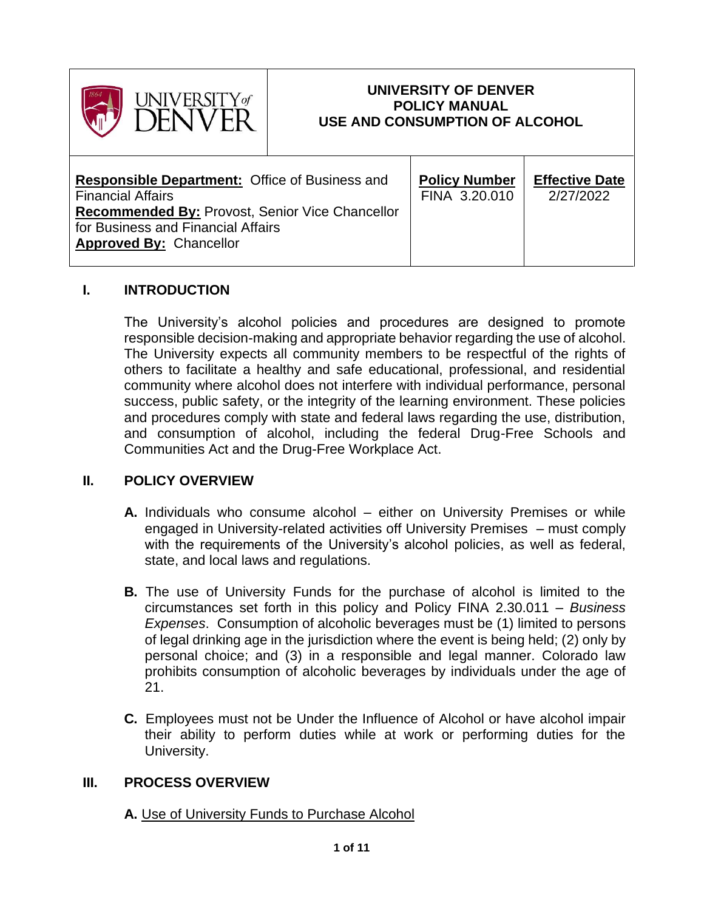

## **UNIVERSITY OF DENVER POLICY MANUAL USE AND CONSUMPTION OF ALCOHOL**

| <b>Responsible Department: Office of Business and</b><br><b>Financial Affairs</b> | <b>Policy Number</b><br>FINA 3.20.010 | <b>Effective Date</b><br>2/27/2022 |
|-----------------------------------------------------------------------------------|---------------------------------------|------------------------------------|
| <b>Recommended By: Provost, Senior Vice Chancellor</b>                            |                                       |                                    |
| for Business and Financial Affairs                                                |                                       |                                    |
| <b>Approved By: Chancellor</b>                                                    |                                       |                                    |
|                                                                                   |                                       |                                    |

## **I. INTRODUCTION**

The University's alcohol policies and procedures are designed to promote responsible decision-making and appropriate behavior regarding the use of alcohol. The University expects all community members to be respectful of the rights of others to facilitate a healthy and safe educational, professional, and residential community where alcohol does not interfere with individual performance, personal success, public safety, or the integrity of the learning environment. These policies and procedures comply with state and federal laws regarding the use, distribution, and consumption of alcohol, including the federal Drug-Free Schools and Communities Act and the Drug-Free Workplace Act.

### **II. POLICY OVERVIEW**

- **A.** Individuals who consume alcohol either on University Premises or while engaged in University-related activities off University Premises – must comply with the requirements of the University's alcohol policies, as well as federal, state, and local laws and regulations.
- **B.** The use of University Funds for the purchase of alcohol is limited to the circumstances set forth in this policy and Policy FINA 2.30.011 – *Business Expenses*. Consumption of alcoholic beverages must be (1) limited to persons of legal drinking age in the jurisdiction where the event is being held; (2) only by personal choice; and (3) in a responsible and legal manner. Colorado law prohibits consumption of alcoholic beverages by individuals under the age of 21.
- **C.** Employees must not be Under the Influence of Alcohol or have alcohol impair their ability to perform duties while at work or performing duties for the University.

### **III. PROCESS OVERVIEW**

### **A.** Use of University Funds to Purchase Alcohol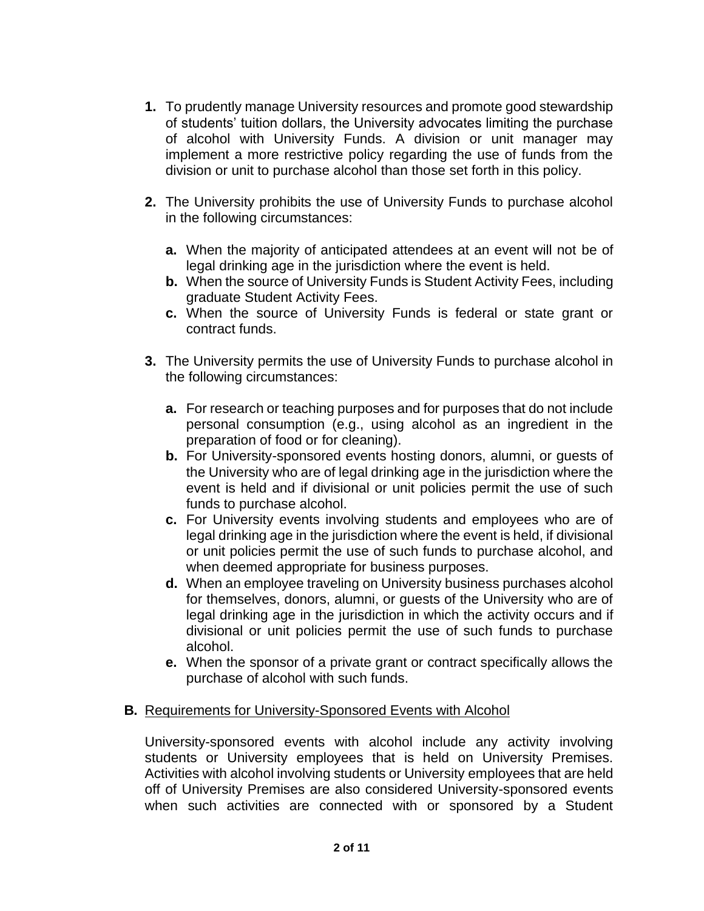- **1.** To prudently manage University resources and promote good stewardship of students' tuition dollars, the University advocates limiting the purchase of alcohol with University Funds. A division or unit manager may implement a more restrictive policy regarding the use of funds from the division or unit to purchase alcohol than those set forth in this policy.
- **2.** The University prohibits the use of University Funds to purchase alcohol in the following circumstances:
	- **a.** When the majority of anticipated attendees at an event will not be of legal drinking age in the jurisdiction where the event is held.
	- **b.** When the source of University Funds is Student Activity Fees, including graduate Student Activity Fees.
	- **c.** When the source of University Funds is federal or state grant or contract funds.
- **3.** The University permits the use of University Funds to purchase alcohol in the following circumstances:
	- **a.** For research or teaching purposes and for purposes that do not include personal consumption (e.g., using alcohol as an ingredient in the preparation of food or for cleaning).
	- **b.** For University-sponsored events hosting donors, alumni, or guests of the University who are of legal drinking age in the jurisdiction where the event is held and if divisional or unit policies permit the use of such funds to purchase alcohol.
	- **c.** For University events involving students and employees who are of legal drinking age in the jurisdiction where the event is held, if divisional or unit policies permit the use of such funds to purchase alcohol, and when deemed appropriate for business purposes.
	- **d.** When an employee traveling on University business purchases alcohol for themselves, donors, alumni, or guests of the University who are of legal drinking age in the jurisdiction in which the activity occurs and if divisional or unit policies permit the use of such funds to purchase alcohol.
	- **e.** When the sponsor of a private grant or contract specifically allows the purchase of alcohol with such funds.

### **B.** Requirements for University-Sponsored Events with Alcohol

University-sponsored events with alcohol include any activity involving students or University employees that is held on University Premises. Activities with alcohol involving students or University employees that are held off of University Premises are also considered University-sponsored events when such activities are connected with or sponsored by a Student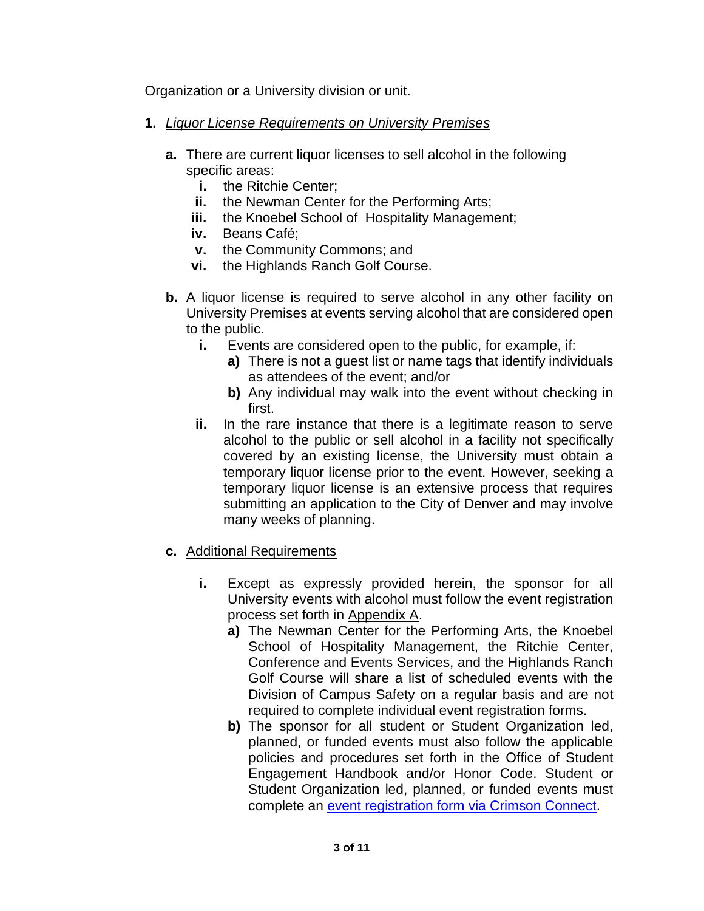Organization or a University division or unit.

- **1.** *Liquor License Requirements on University Premises*
	- **a.** There are current liquor licenses to sell alcohol in the following specific areas:
		- **i.** the Ritchie Center;
		- **ii.** the Newman Center for the Performing Arts;
		- **iii.** the Knoebel School of Hospitality Management;
		- **iv.** Beans Café;
		- **v.** the Community Commons; and
		- **vi.** the Highlands Ranch Golf Course.
	- **b.** A liquor license is required to serve alcohol in any other facility on University Premises at events serving alcohol that are considered open to the public.
		- **i.** Events are considered open to the public, for example, if:
			- **a)** There is not a guest list or name tags that identify individuals as attendees of the event; and/or
			- **b)** Any individual may walk into the event without checking in first.
		- **ii.** In the rare instance that there is a legitimate reason to serve alcohol to the public or sell alcohol in a facility not specifically covered by an existing license, the University must obtain a temporary liquor license prior to the event. However, seeking a temporary liquor license is an extensive process that requires submitting an application to the City of Denver and may involve many weeks of planning.
	- **c.** Additional Requirements
		- **i.** Except as expressly provided herein, the sponsor for all University events with alcohol must follow the event registration process set forth in Appendix A.
			- **a)** The Newman Center for the Performing Arts, the Knoebel School of Hospitality Management, the Ritchie Center, Conference and Events Services, and the Highlands Ranch Golf Course will share a list of scheduled events with the Division of Campus Safety on a regular basis and are not required to complete individual event registration forms.
			- **b)** The sponsor for all student or Student Organization led, planned, or funded events must also follow the applicable policies and procedures set forth in the Office of Student Engagement Handbook and/or Honor Code. Student or Student Organization led, planned, or funded events must complete an [event registration form via Crimson Connect.](https://crimsonconnect.du.edu/events)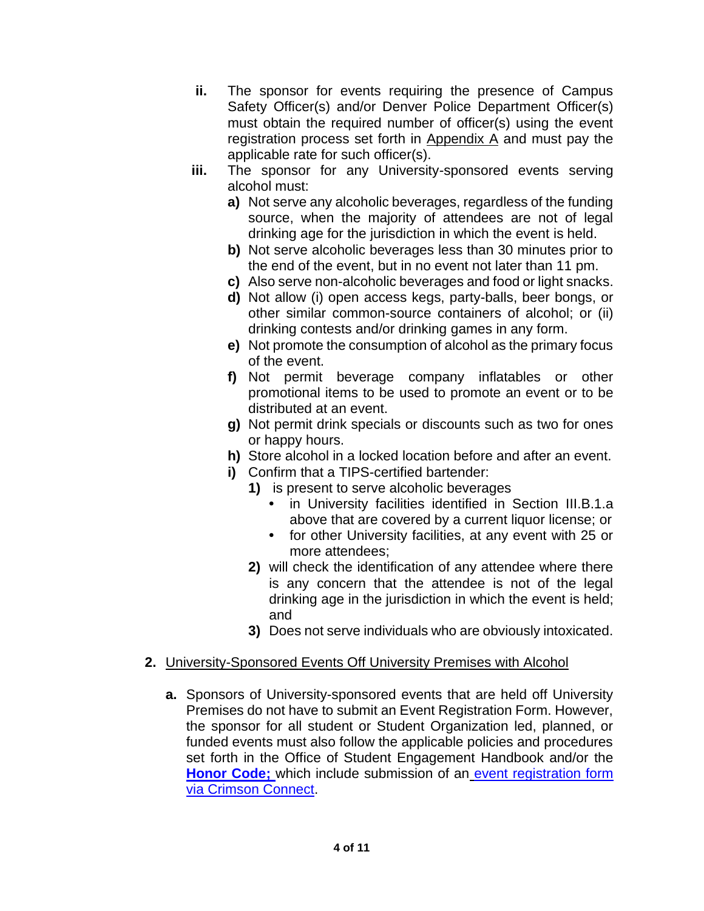- **ii.** The sponsor for events requiring the presence of Campus Safety Officer(s) and/or Denver Police Department Officer(s) must obtain the required number of officer(s) using the event registration process set forth in Appendix A and must pay the applicable rate for such officer(s).
- **iii.** The sponsor for any University-sponsored events serving alcohol must:
	- **a)** Not serve any alcoholic beverages, regardless of the funding source, when the majority of attendees are not of legal drinking age for the jurisdiction in which the event is held.
	- **b)** Not serve alcoholic beverages less than 30 minutes prior to the end of the event, but in no event not later than 11 pm.
	- **c)** Also serve non-alcoholic beverages and food or light snacks.
	- **d)** Not allow (i) open access kegs, party-balls, beer bongs, or other similar common-source containers of alcohol; or (ii) drinking contests and/or drinking games in any form.
	- **e)** Not promote the consumption of alcohol as the primary focus of the event.
	- **f)** Not permit beverage company inflatables or other promotional items to be used to promote an event or to be distributed at an event.
	- **g)** Not permit drink specials or discounts such as two for ones or happy hours.
	- **h)** Store alcohol in a locked location before and after an event.
	- **i)** Confirm that a TIPS-certified bartender:
		- **1)** is present to serve alcoholic beverages
			- **•** in University facilities identified in Section III.B.1.a above that are covered by a current liquor license; or
			- **•** for other University facilities, at any event with 25 or more attendees;
		- **2)** will check the identification of any attendee where there is any concern that the attendee is not of the legal drinking age in the jurisdiction in which the event is held; and
		- **3)** Does not serve individuals who are obviously intoxicated.

## **2.** University-Sponsored Events Off University Premises with Alcohol

**a.** Sponsors of University-sponsored events that are held off University Premises do not have to submit an Event Registration Form. However, the sponsor for all student or Student Organization led, planned, or funded events must also follow the applicable policies and procedures set forth in the Office of Student Engagement Handbook and/or the **[Honor Code;](https://www.du.edu/studentlife/studentconduct/honorcode.html)** which include submission of an [event registration form](https://crimsonconnect.du.edu/events)  [via Crimson Connect.](https://crimsonconnect.du.edu/events)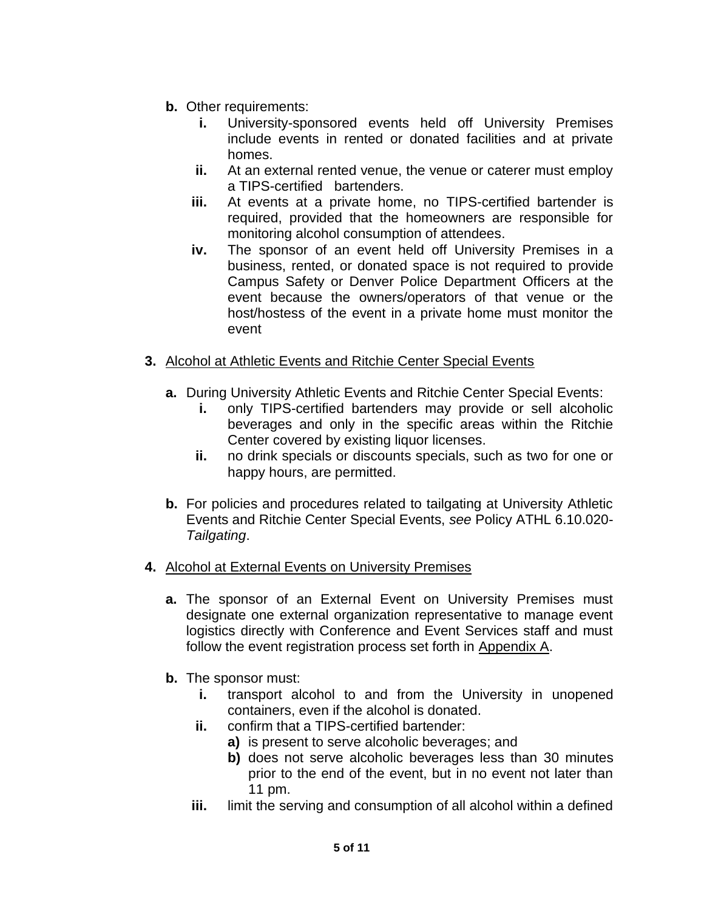- **b.** Other requirements:
	- **i.** University-sponsored events held off University Premises include events in rented or donated facilities and at private homes.
	- **ii.** At an external rented venue, the venue or caterer must employ a TIPS-certified bartenders.
	- **iii.** At events at a private home, no TIPS-certified bartender is required, provided that the homeowners are responsible for monitoring alcohol consumption of attendees.
	- **iv.** The sponsor of an event held off University Premises in a business, rented, or donated space is not required to provide Campus Safety or Denver Police Department Officers at the event because the owners/operators of that venue or the host/hostess of the event in a private home must monitor the event
- **3.** Alcohol at Athletic Events and Ritchie Center Special Events
	- **a.** During University Athletic Events and Ritchie Center Special Events:
		- **i.** only TIPS-certified bartenders may provide or sell alcoholic beverages and only in the specific areas within the Ritchie Center covered by existing liquor licenses.
		- **ii.** no drink specials or discounts specials, such as two for one or happy hours, are permitted.
	- **b.** For policies and procedures related to tailgating at University Athletic Events and Ritchie Center Special Events, *see* Policy ATHL 6.10.020- *Tailgating*.
- **4.** Alcohol at External Events on University Premises
	- **a.** The sponsor of an External Event on University Premises must designate one external organization representative to manage event logistics directly with Conference and Event Services staff and must follow the event registration process set forth in Appendix A.
	- **b.** The sponsor must:
		- **i.** transport alcohol to and from the University in unopened containers, even if the alcohol is donated.
		- **ii.** confirm that a TIPS-certified bartender:
			- **a)** is present to serve alcoholic beverages; and
			- **b)** does not serve alcoholic beverages less than 30 minutes prior to the end of the event, but in no event not later than 11 pm.
		- **iii.** limit the serving and consumption of all alcohol within a defined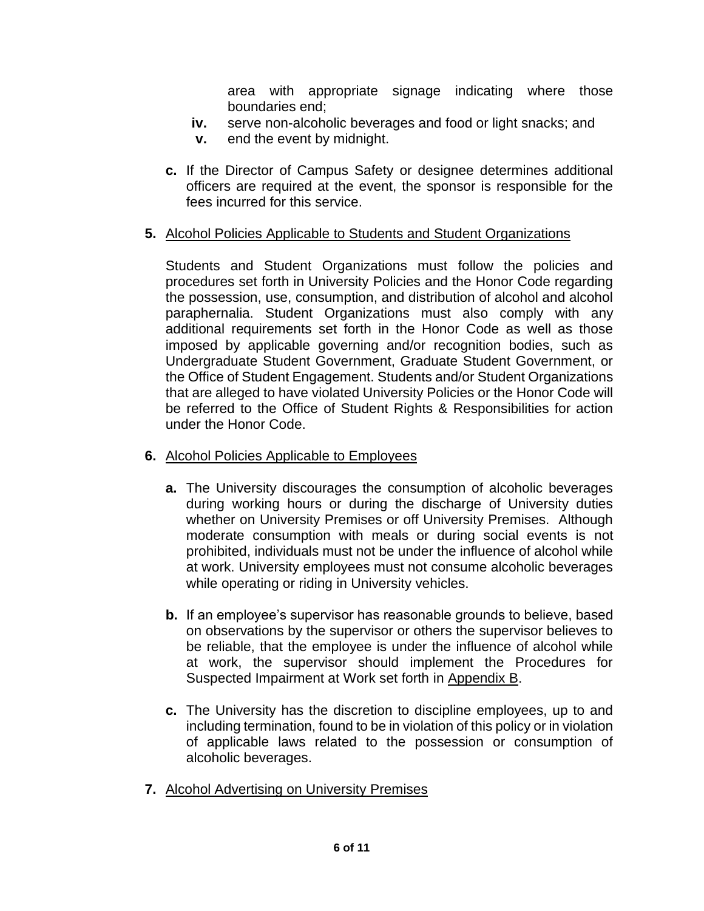area with appropriate signage indicating where those boundaries end;

- **iv.** serve non-alcoholic beverages and food or light snacks; and
- **v.** end the event by midnight.
- **c.** If the Director of Campus Safety or designee determines additional officers are required at the event, the sponsor is responsible for the fees incurred for this service.

## **5.** Alcohol Policies Applicable to Students and Student Organizations

Students and Student Organizations must follow the policies and procedures set forth in University Policies and the Honor Code regarding the possession, use, consumption, and distribution of alcohol and alcohol paraphernalia. Student Organizations must also comply with any additional requirements set forth in the Honor Code as well as those imposed by applicable governing and/or recognition bodies, such as Undergraduate Student Government, Graduate Student Government, or the Office of Student Engagement. Students and/or Student Organizations that are alleged to have violated University Policies or the Honor Code will be referred to the Office of Student Rights & Responsibilities for action under the Honor Code.

- **6.** Alcohol Policies Applicable to Employees
	- **a.** The University discourages the consumption of alcoholic beverages during working hours or during the discharge of University duties whether on University Premises or off University Premises. Although moderate consumption with meals or during social events is not prohibited, individuals must not be under the influence of alcohol while at work. University employees must not consume alcoholic beverages while operating or riding in University vehicles.
	- **b.** If an employee's supervisor has reasonable grounds to believe, based on observations by the supervisor or others the supervisor believes to be reliable, that the employee is under the influence of alcohol while at work, the supervisor should implement the Procedures for Suspected Impairment at Work set forth in Appendix B.
	- **c.** The University has the discretion to discipline employees, up to and including termination, found to be in violation of this policy or in violation of applicable laws related to the possession or consumption of alcoholic beverages.
- **7.** Alcohol Advertising on University Premises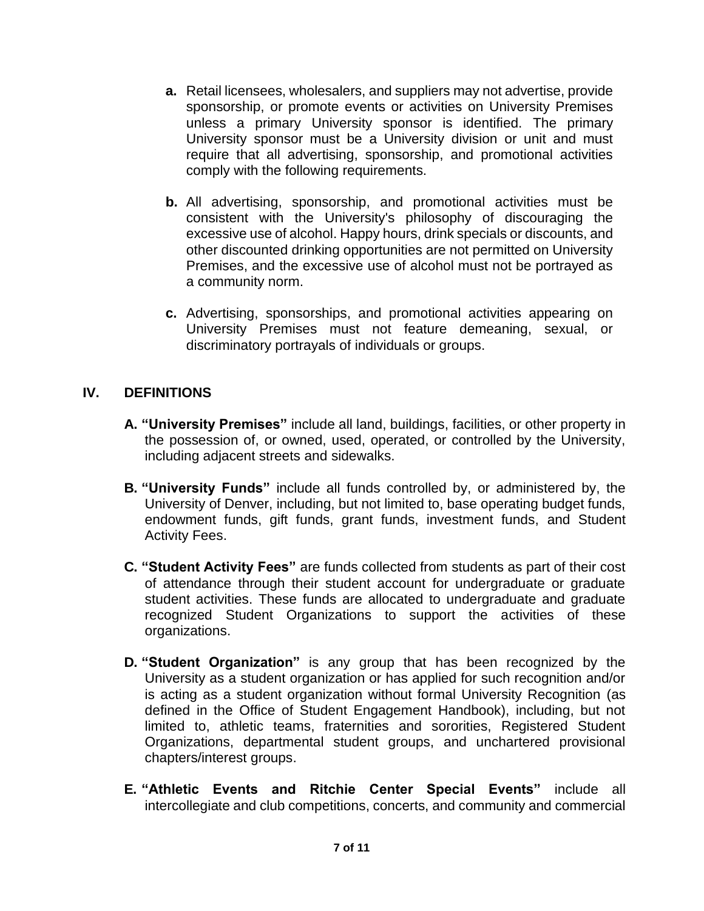- **a.** Retail licensees, wholesalers, and suppliers may not advertise, provide sponsorship, or promote events or activities on University Premises unless a primary University sponsor is identified. The primary University sponsor must be a University division or unit and must require that all advertising, sponsorship, and promotional activities comply with the following requirements.
- **b.** All advertising, sponsorship, and promotional activities must be consistent with the University's philosophy of discouraging the excessive use of alcohol. Happy hours, drink specials or discounts, and other discounted drinking opportunities are not permitted on University Premises, and the excessive use of alcohol must not be portrayed as a community norm.
- **c.** Advertising, sponsorships, and promotional activities appearing on University Premises must not feature demeaning, sexual, or discriminatory portrayals of individuals or groups.

## **IV. DEFINITIONS**

- **A. "University Premises"** include all land, buildings, facilities, or other property in the possession of, or owned, used, operated, or controlled by the University, including adjacent streets and sidewalks.
- **B. "University Funds"** include all funds controlled by, or administered by, the University of Denver, including, but not limited to, base operating budget funds, endowment funds, gift funds, grant funds, investment funds, and Student Activity Fees.
- **C. "Student Activity Fees"** are funds collected from students as part of their cost of attendance through their student account for undergraduate or graduate student activities. These funds are allocated to undergraduate and graduate recognized Student Organizations to support the activities of these organizations.
- **D. "Student Organization"** is any group that has been recognized by the University as a student organization or has applied for such recognition and/or is acting as a student organization without formal University Recognition (as defined in the Office of Student Engagement Handbook), including, but not limited to, athletic teams, fraternities and sororities, Registered Student Organizations, departmental student groups, and unchartered provisional chapters/interest groups.
- **E. "Athletic Events and Ritchie Center Special Events"** include all intercollegiate and club competitions, concerts, and community and commercial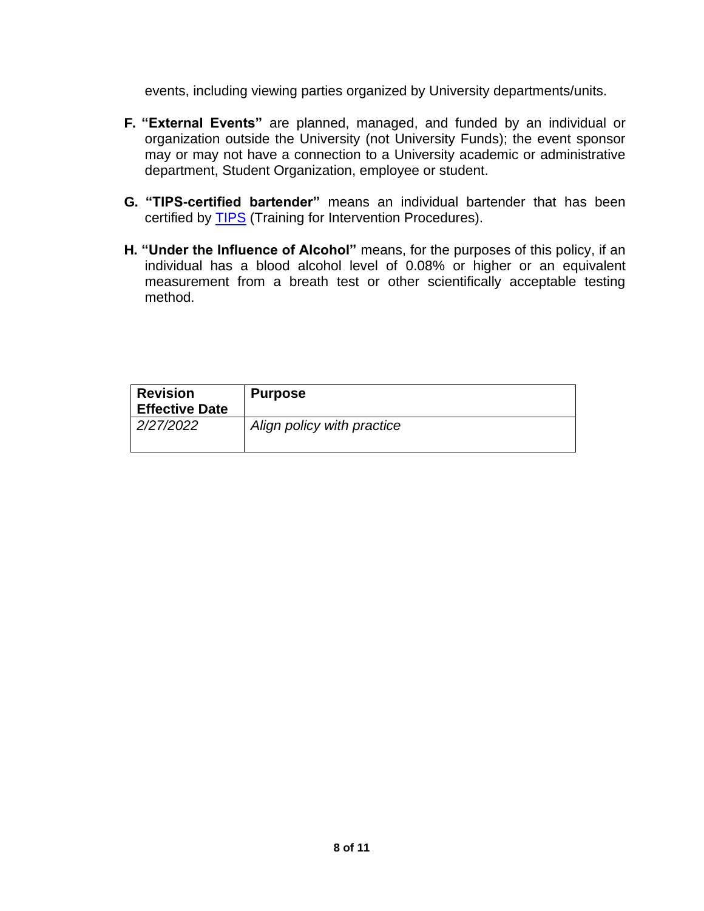events, including viewing parties organized by University departments/units.

- **F. "External Events"** are planned, managed, and funded by an individual or organization outside the University (not University Funds); the event sponsor may or may not have a connection to a University academic or administrative department, Student Organization, employee or student.
- **G. "TIPS-certified bartender"** means an individual bartender that has been certified by [TIPS](https://www.tipsalcohol.com/?gclid=Cj0KCQiAw9qOBhC-ARIsAG-rdn6twLFxgZtVzM5hoh65T24GaDNIfKuBBB3qB2gBlx7VgQaCxs7H86gaAttjEALw_wcB) (Training for Intervention Procedures).
- **H. "Under the Influence of Alcohol"** means, for the purposes of this policy, if an individual has a blood alcohol level of 0.08% or higher or an equivalent measurement from a breath test or other scientifically acceptable testing method.

| <b>Revision</b><br><b>Effective Date</b> | <b>Purpose</b>             |
|------------------------------------------|----------------------------|
| 2/27/2022                                | Align policy with practice |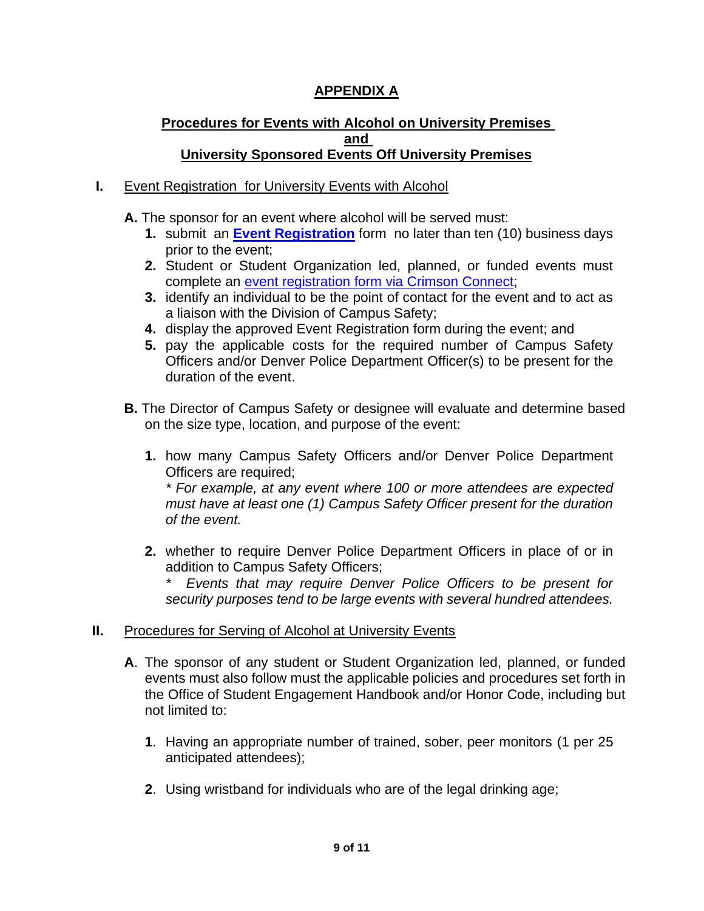# **APPENDIX A**

### **Procedures for Events with Alcohol on University Premises and University Sponsored Events Off University Premises**

## **I.** Event Registration for University Events with Alcohol

**A.** The sponsor for an event where alcohol will be served must:

- **1.** submit an **[Event Registration](https://www.du.edu/studentlife/campuslife/eventplanningguide/orgsync/index.html)** form no later than ten (10) business days prior to the event;
- **2.** Student or Student Organization led, planned, or funded events must complete an [event registration form via Crimson Connect;](https://crimsonconnect.du.edu/events)
- **3.** identify an individual to be the point of contact for the event and to act as a liaison with the Division of Campus Safety;
- **4.** display the approved Event Registration form during the event; and
- **5.** pay the applicable costs for the required number of Campus Safety Officers and/or Denver Police Department Officer(s) to be present for the duration of the event.
- **B.** The Director of Campus Safety or designee will evaluate and determine based on the size type, location, and purpose of the event:
	- **1.** how many Campus Safety Officers and/or Denver Police Department Officers are required;

*\* For example, at any event where 100 or more attendees are expected must have at least one (1) Campus Safety Officer present for the duration of the event.*

**2.** whether to require Denver Police Department Officers in place of or in addition to Campus Safety Officers;

*\* Events that may require Denver Police Officers to be present for security purposes tend to be large events with several hundred attendees.*

### **II.** Procedures for Serving of Alcohol at University Events

- **A**. The sponsor of any student or Student Organization led, planned, or funded events must also follow must the applicable policies and procedures set forth in the Office of Student Engagement Handbook and/or Honor Code, including but not limited to:
	- **1**. Having an appropriate number of trained, sober, peer monitors (1 per 25 anticipated attendees);
	- **2**. Using wristband for individuals who are of the legal drinking age;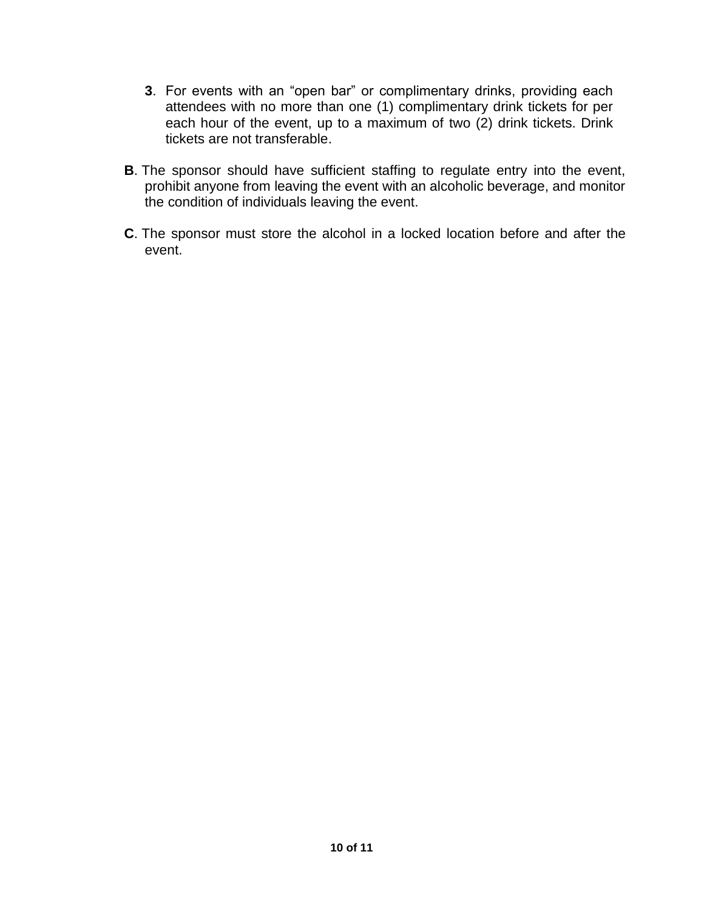- **3**. For events with an "open bar" or complimentary drinks, providing each attendees with no more than one (1) complimentary drink tickets for per each hour of the event, up to a maximum of two (2) drink tickets. Drink tickets are not transferable.
- **B**. The sponsor should have sufficient staffing to regulate entry into the event, prohibit anyone from leaving the event with an alcoholic beverage, and monitor the condition of individuals leaving the event.
- **C**. The sponsor must store the alcohol in a locked location before and after the event.